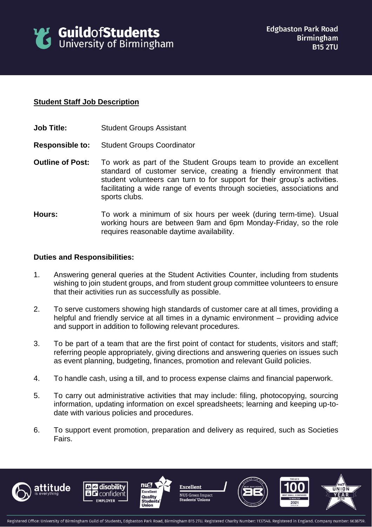

## **Student Staff Job Description**

- **Job Title:** Student Groups Assistant
- **Responsible to:** Student Groups Coordinator
- **Outline of Post:** To work as part of the Student Groups team to provide an excellent standard of customer service, creating a friendly environment that student volunteers can turn to for support for their group's activities. facilitating a wide range of events through societies, associations and sports clubs.
- **Hours:** To work a minimum of six hours per week (during term-time). Usual working hours are between 9am and 6pm Monday-Friday, so the role requires reasonable daytime availability.

## **Duties and Responsibilities:**

- 1. Answering general queries at the Student Activities Counter, including from students wishing to join student groups, and from student group committee volunteers to ensure that their activities run as successfully as possible.
- 2. To serve customers showing high standards of customer care at all times, providing a helpful and friendly service at all times in a dynamic environment – providing advice and support in addition to following relevant procedures.
- 3. To be part of a team that are the first point of contact for students, visitors and staff; referring people appropriately, giving directions and answering queries on issues such as event planning, budgeting, finances, promotion and relevant Guild policies.
- 4. To handle cash, using a till, and to process expense claims and financial paperwork.
- 5. To carry out administrative activities that may include: filing, photocopying, sourcing information, updating information on excel spreadsheets; learning and keeping up-todate with various policies and procedures.
- 6. To support event promotion, preparation and delivery as required, such as Societies Fairs.